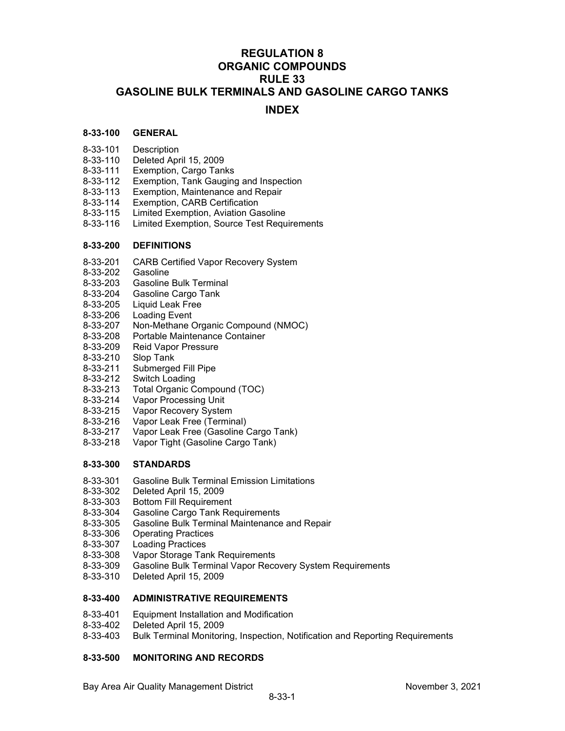## **REGULATION 8 ORGANIC COMPOUNDS RULE 33 GASOLINE BULK TERMINALS AND GASOLINE CARGO TANKS**

## **INDEX**

## **8-33-100 GENERAL**

- 
- 8-33-101 Description<br>8-33-110 Deleted Apr<br>8-33-111 Exemption, Deleted April 15, 2009
- Exemption, Cargo Tanks
- 8-33-112 Exemption, Tank Gauging and Inspection<br>8-33-113 Exemption, Maintenance and Repair
- Exemption, Maintenance and Repair
- 8-33-114 Exemption, CARB Certification
- Limited Exemption, Aviation Gasoline
- 8-33-116 Limited Exemption, Source Test Requirements

## **8-33-200 DEFINITIONS**

- 8-33-201 CARB Certified Vapor Recovery System
- 8-33-202 Gasoline
- 8-33-203 Gasoline Bulk Terminal
- 8-33-204 Gasoline Cargo Tank
- 8-33-205 Liquid Leak Free
- 8-33-206 Loading Event
- 8-33-207 Non-Methane Organic Compound (NMOC)
- Portable Maintenance Container
- 8-33-209 Reid Vapor Pressure<br>8-33-210 Slop Tank
- Slop Tank
- 8-33-211 Submerged Fill Pipe
- 8-33-212 Switch Loading
- 8-33-213 Total Organic Compound (TOC)
- 8-33-214 Vapor Processing Unit
- 8-33-215 Vapor Recovery System
- 8-33-216 Vapor Leak Free (Terminal)<br>8-33-217 Vapor Leak Free (Gasoline (
- Vapor Leak Free (Gasoline Cargo Tank)
- 8-33-218 Vapor Tight (Gasoline Cargo Tank)

## **8-33-300 STANDARDS**

- 8-33-301 Gasoline Bulk Terminal Emission Limitations
- 
- 8-33-302 Deleted April 15, 2009
- 8-33-303 Bottom Fill Requirement<br>8-33-304 Gasoline Cargo Tank Re **Gasoline Cargo Tank Requirements**
- 8-33-305 Gasoline Bulk Terminal Maintenance and Repair
- 8-33-306 Operating Practices
- 8-33-307 Loading Practices
- 8-33-308 Vapor Storage Tank Requirements
- 8-33-309 Gasoline Bulk Terminal Vapor Recovery System Requirements
- 8-33-310 Deleted April 15, 2009

## **8-33-400 ADMINISTRATIVE REQUIREMENTS**

- 8-33-401 Equipment Installation and Modification
- Deleted April 15, 2009
- 8-33-403 Bulk Terminal Monitoring, Inspection, Notification and Reporting Requirements

## **8-33-500 MONITORING AND RECORDS**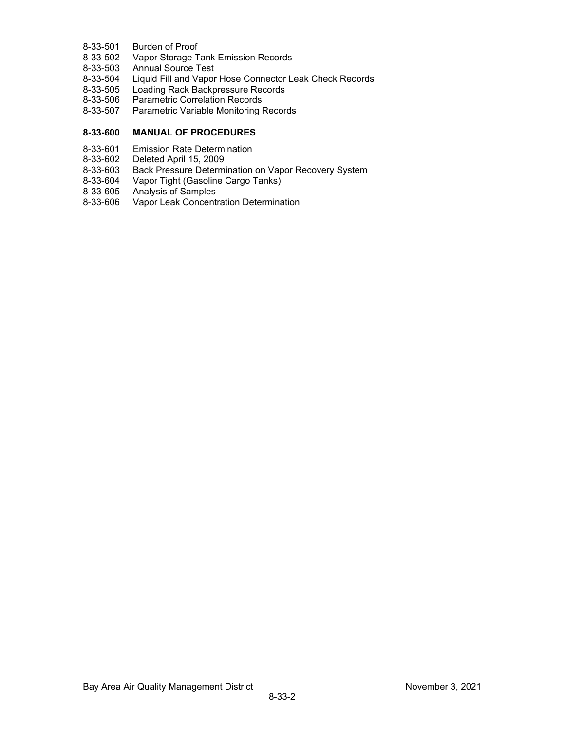- 8-33-501 Burden of Proof<br>8-33-502 Vapor Storage T
- 8-33-502 Vapor Storage Tank Emission Records<br>8-33-503 Annual Source Test
- 8-33-503 Annual Source Test<br>8-33-504 Liquid Fill and Vapor
- Liquid Fill and Vapor Hose Connector Leak Check Records
- 8-33-505 Loading Rack Backpressure Records
- 8-33-506 Parametric Correlation Records
- 8-33-507 Parametric Variable Monitoring Records

## **8-33-600 MANUAL OF PROCEDURES**

- 8-33-601 Emission Rate Determination<br>8-33-602 Deleted April 15, 2009
- 8-33-602 Deleted April 15, 2009
- Back Pressure Determination on Vapor Recovery System
- 8-33-604 Vapor Tight (Gasoline Cargo Tanks)
- 8-33-605 Analysis of Samples
- 8-33-606 Vapor Leak Concentration Determination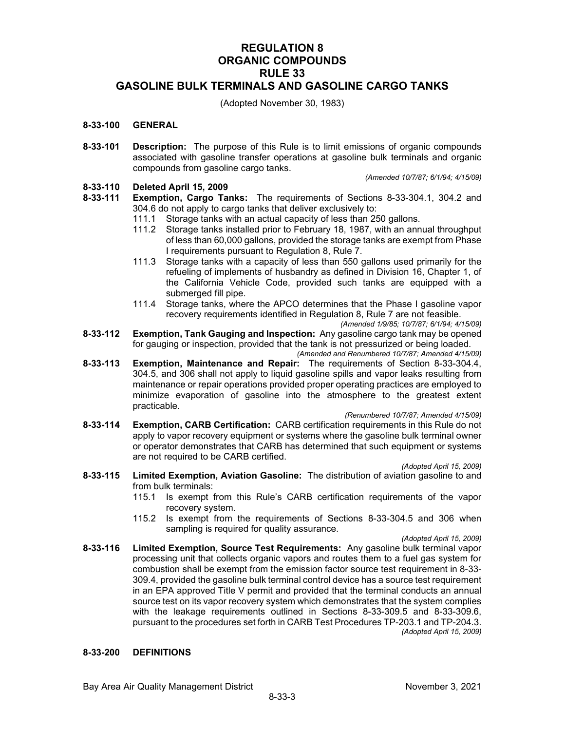## **REGULATION 8 ORGANIC COMPOUNDS RULE 33 GASOLINE BULK TERMINALS AND GASOLINE CARGO TANKS**

(Adopted November 30, 1983)

## **8-33-100 GENERAL**

**8-33-101 Description:** The purpose of this Rule is to limit emissions of organic compounds associated with gasoline transfer operations at gasoline bulk terminals and organic compounds from gasoline cargo tanks.

*(Amended 10/7/87; 6/1/94; 4/15/09)*

# **8-33-110 Deleted April 15, 2009**

- **Exemption, Cargo Tanks:** The requirements of Sections 8-33-304.1, 304.2 and 304.6 do not apply to cargo tanks that deliver exclusively to:
	- 111.1 Storage tanks with an actual capacity of less than 250 gallons.
	- 111.2 Storage tanks installed prior to February 18, 1987, with an annual throughput of less than 60,000 gallons, provided the storage tanks are exempt from Phase I requirements pursuant to Regulation 8, Rule 7.
	- 111.3 Storage tanks with a capacity of less than 550 gallons used primarily for the refueling of implements of husbandry as defined in Division 16, Chapter 1, of the California Vehicle Code, provided such tanks are equipped with a submerged fill pipe.
	- 111.4 Storage tanks, where the APCO determines that the Phase I gasoline vapor recovery requirements identified in Regulation 8, Rule 7 are not feasible. *(Amended 1/9/85; 10/7/87; 6/1/94; 4/15/09)*
- **8-33-112 Exemption, Tank Gauging and Inspection:** Any gasoline cargo tank may be opened for gauging or inspection, provided that the tank is not pressurized or being loaded. *(Amended and Renumbered 10/7/87; Amended 4/15/09)*
- **8-33-113 Exemption, Maintenance and Repair:** The requirements of Section 8-33-304.4, 304.5, and 306 shall not apply to liquid gasoline spills and vapor leaks resulting from maintenance or repair operations provided proper operating practices are employed to minimize evaporation of gasoline into the atmosphere to the greatest extent practicable.

*(Renumbered 10/7/87; Amended 4/15/09)*

**8-33-114 Exemption, CARB Certification:** CARB certification requirements in this Rule do not apply to vapor recovery equipment or systems where the gasoline bulk terminal owner or operator demonstrates that CARB has determined that such equipment or systems are not required to be CARB certified.

*(Adopted April 15, 2009)*

- **8-33-115 Limited Exemption, Aviation Gasoline:** The distribution of aviation gasoline to and from bulk terminals:
	- 115.1 Is exempt from this Rule's CARB certification requirements of the vapor recovery system.
	- 115.2 Is exempt from the requirements of Sections 8-33-304.5 and 306 when sampling is required for quality assurance.

*(Adopted April 15, 2009)*

**8-33-116 Limited Exemption, Source Test Requirements:** Any gasoline bulk terminal vapor processing unit that collects organic vapors and routes them to a fuel gas system for combustion shall be exempt from the emission factor source test requirement in 8-33- 309.4, provided the gasoline bulk terminal control device has a source test requirement in an EPA approved Title V permit and provided that the terminal conducts an annual source test on its vapor recovery system which demonstrates that the system complies with the leakage requirements outlined in Sections 8-33-309.5 and 8-33-309.6, pursuant to the procedures set forth in CARB Test Procedures TP-203.1 and TP-204.3. *(Adopted April 15, 2009)*

## **8-33-200 DEFINITIONS**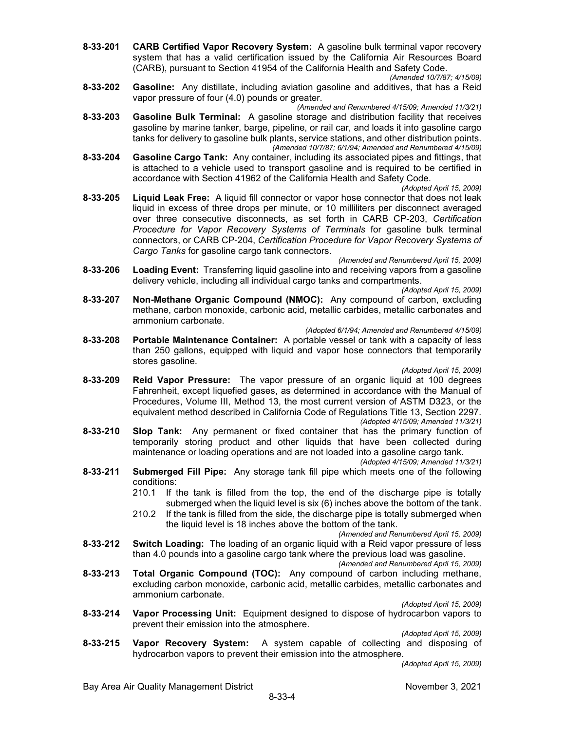**8-33-201 CARB Certified Vapor Recovery System:** A gasoline bulk terminal vapor recovery system that has a valid certification issued by the California Air Resources Board (CARB), pursuant to Section 41954 of the California Health and Safety Code.

*(Amended 10/7/87; 4/15/09)*

**8-33-202 Gasoline:** Any distillate, including aviation gasoline and additives, that has a Reid vapor pressure of four (4.0) pounds or greater.

*(Amended and Renumbered 4/15/09; Amended 11/3/21)*

- **8-33-203 Gasoline Bulk Terminal:** A gasoline storage and distribution facility that receives gasoline by marine tanker, barge, pipeline, or rail car, and loads it into gasoline cargo tanks for delivery to gasoline bulk plants, service stations, and other distribution points. *(Amended 10/7/87; 6/1/94; Amended and Renumbered 4/15/09)*
- **8-33-204 Gasoline Cargo Tank:** Any container, including its associated pipes and fittings, that is attached to a vehicle used to transport gasoline and is required to be certified in accordance with Section 41962 of the California Health and Safety Code.
	- *(Adopted April 15, 2009)*
- **8-33-205 Liquid Leak Free:** A liquid fill connector or vapor hose connector that does not leak liquid in excess of three drops per minute, or 10 milliliters per disconnect averaged over three consecutive disconnects, as set forth in CARB CP-203, *Certification Procedure for Vapor Recovery Systems of Terminals* for gasoline bulk terminal connectors, or CARB CP-204, *Certification Procedure for Vapor Recovery Systems of Cargo Tanks* for gasoline cargo tank connectors.

*(Amended and Renumbered April 15, 2009)*

**8-33-206 Loading Event:** Transferring liquid gasoline into and receiving vapors from a gasoline delivery vehicle, including all individual cargo tanks and compartments.

*(Adopted April 15, 2009)*

**8-33-207 Non-Methane Organic Compound (NMOC):** Any compound of carbon, excluding methane, carbon monoxide, carbonic acid, metallic carbides, metallic carbonates and ammonium carbonate.

#### *(Adopted 6/1/94; Amended and Renumbered 4/15/09)*

**8-33-208 Portable Maintenance Container:** A portable vessel or tank with a capacity of less than 250 gallons, equipped with liquid and vapor hose connectors that temporarily stores gasoline.

*(Adopted April 15, 2009)*

- **8-33-209 Reid Vapor Pressure:** The vapor pressure of an organic liquid at 100 degrees Fahrenheit, except liquefied gases, as determined in accordance with the Manual of Procedures, Volume III, Method 13, the most current version of ASTM D323, or the equivalent method described in California Code of Regulations Title 13, Section 2297. *(Adopted 4/15/09; Amended 11/3/21)*
- **8-33-210 Slop Tank:** Any permanent or fixed container that has the primary function of temporarily storing product and other liquids that have been collected during maintenance or loading operations and are not loaded into a gasoline cargo tank.

*(Adopted 4/15/09; Amended 11/3/21)*

- **8-33-211 Submerged Fill Pipe:** Any storage tank fill pipe which meets one of the following conditions:
	- 210.1 If the tank is filled from the top, the end of the discharge pipe is totally submerged when the liquid level is six (6) inches above the bottom of the tank.
	- 210.2 If the tank is filled from the side, the discharge pipe is totally submerged when the liquid level is 18 inches above the bottom of the tank.

*(Amended and Renumbered April 15, 2009)*

**8-33-212 Switch Loading:** The loading of an organic liquid with a Reid vapor pressure of less than 4.0 pounds into a gasoline cargo tank where the previous load was gasoline.

*(Amended and Renumbered April 15, 2009)*

**8-33-213 Total Organic Compound (TOC):** Any compound of carbon including methane, excluding carbon monoxide, carbonic acid, metallic carbides, metallic carbonates and ammonium carbonate.

*(Adopted April 15, 2009)*

**8-33-214 Vapor Processing Unit:** Equipment designed to dispose of hydrocarbon vapors to prevent their emission into the atmosphere.

*(Adopted April 15, 2009)*

**8-33-215 Vapor Recovery System:** A system capable of collecting and disposing of hydrocarbon vapors to prevent their emission into the atmosphere.

*(Adopted April 15, 2009)*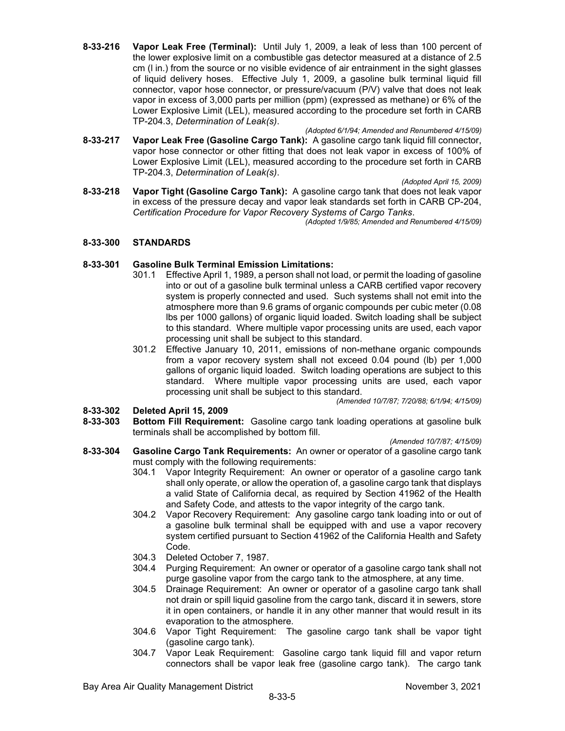- **8-33-216 Vapor Leak Free (Terminal):** Until July 1, 2009, a leak of less than 100 percent of the lower explosive limit on a combustible gas detector measured at a distance of 2.5 cm (l in.) from the source or no visible evidence of air entrainment in the sight glasses of liquid delivery hoses. Effective July 1, 2009, a gasoline bulk terminal liquid fill connector, vapor hose connector, or pressure/vacuum (P/V) valve that does not leak vapor in excess of 3,000 parts per million (ppm) (expressed as methane) or 6% of the Lower Explosive Limit (LEL), measured according to the procedure set forth in CARB TP-204.3, *Determination of Leak(s)*.
- *(Adopted 6/1/94; Amended and Renumbered 4/15/09)* **8-33-217 Vapor Leak Free (Gasoline Cargo Tank):** A gasoline cargo tank liquid fill connector, vapor hose connector or other fitting that does not leak vapor in excess of 100% of Lower Explosive Limit (LEL), measured according to the procedure set forth in CARB TP-204.3, *Determination of Leak(s)*.
- *(Adopted April 15, 2009)* **8-33-218 Vapor Tight (Gasoline Cargo Tank):** A gasoline cargo tank that does not leak vapor in excess of the pressure decay and vapor leak standards set forth in CARB CP-204, *Certification Procedure for Vapor Recovery Systems of Cargo Tanks*.

*(Adopted 1/9/85; Amended and Renumbered 4/15/09)*

## **8-33-300 STANDARDS**

## **8-33-301 Gasoline Bulk Terminal Emission Limitations:**

- 301.1 Effective April 1, 1989, a person shall not load, or permit the loading of gasoline into or out of a gasoline bulk terminal unless a CARB certified vapor recovery system is properly connected and used. Such systems shall not emit into the atmosphere more than 9.6 grams of organic compounds per cubic meter (0.08 lbs per 1000 gallons) of organic liquid loaded. Switch loading shall be subject to this standard. Where multiple vapor processing units are used, each vapor processing unit shall be subject to this standard.
- 301.2 Effective January 10, 2011, emissions of non-methane organic compounds from a vapor recovery system shall not exceed 0.04 pound (lb) per 1,000 gallons of organic liquid loaded. Switch loading operations are subject to this standard. Where multiple vapor processing units are used, each vapor processing unit shall be subject to this standard.

*(Amended 10/7/87; 7/20/88; 6/1/94; 4/15/09)*

# **8-33-302 Deleted April 15, 2009**

**8-33-303 Bottom Fill Requirement:** Gasoline cargo tank loading operations at gasoline bulk terminals shall be accomplished by bottom fill.

*(Amended 10/7/87; 4/15/09)*

- **8-33-304 Gasoline Cargo Tank Requirements:** An owner or operator of a gasoline cargo tank must comply with the following requirements:
	- 304.1 Vapor Integrity Requirement: An owner or operator of a gasoline cargo tank shall only operate, or allow the operation of, a gasoline cargo tank that displays a valid State of California decal, as required by Section 41962 of the Health and Safety Code, and attests to the vapor integrity of the cargo tank.
	- 304.2 Vapor Recovery Requirement: Any gasoline cargo tank loading into or out of a gasoline bulk terminal shall be equipped with and use a vapor recovery system certified pursuant to Section 41962 of the California Health and Safety Code.
	- 304.3 Deleted October 7, 1987.
	- 304.4 Purging Requirement: An owner or operator of a gasoline cargo tank shall not purge gasoline vapor from the cargo tank to the atmosphere, at any time.
	- 304.5 Drainage Requirement: An owner or operator of a gasoline cargo tank shall not drain or spill liquid gasoline from the cargo tank, discard it in sewers, store it in open containers, or handle it in any other manner that would result in its evaporation to the atmosphere.
	- 304.6 Vapor Tight Requirement: The gasoline cargo tank shall be vapor tight (gasoline cargo tank).
	- 304.7 Vapor Leak Requirement: Gasoline cargo tank liquid fill and vapor return connectors shall be vapor leak free (gasoline cargo tank). The cargo tank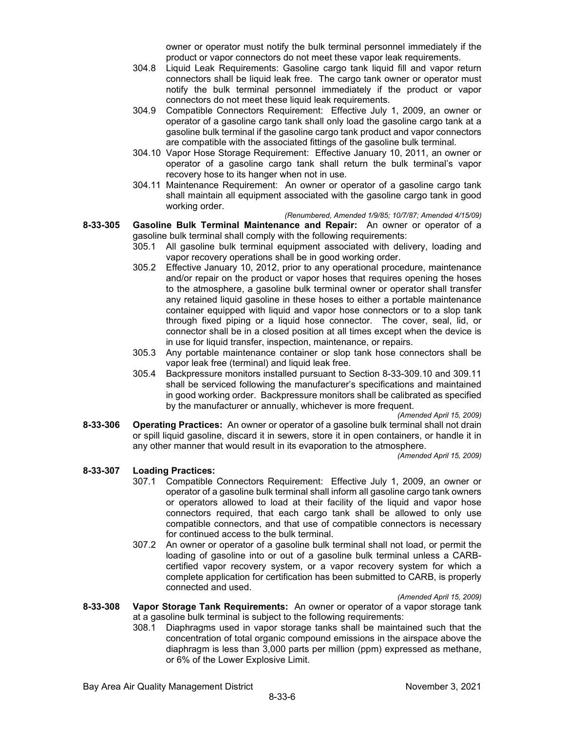owner or operator must notify the bulk terminal personnel immediately if the product or vapor connectors do not meet these vapor leak requirements.

- 304.8 Liquid Leak Requirements: Gasoline cargo tank liquid fill and vapor return connectors shall be liquid leak free. The cargo tank owner or operator must notify the bulk terminal personnel immediately if the product or vapor connectors do not meet these liquid leak requirements.
- 304.9 Compatible Connectors Requirement: Effective July 1, 2009, an owner or operator of a gasoline cargo tank shall only load the gasoline cargo tank at a gasoline bulk terminal if the gasoline cargo tank product and vapor connectors are compatible with the associated fittings of the gasoline bulk terminal.
- 304.10 Vapor Hose Storage Requirement: Effective January 10, 2011, an owner or operator of a gasoline cargo tank shall return the bulk terminal's vapor recovery hose to its hanger when not in use.
- 304.11 Maintenance Requirement: An owner or operator of a gasoline cargo tank shall maintain all equipment associated with the gasoline cargo tank in good working order.
	- *(Renumbered, Amended 1/9/85; 10/7/87; Amended 4/15/09)*

### **8-33-305 Gasoline Bulk Terminal Maintenance and Repair:** An owner or operator of a gasoline bulk terminal shall comply with the following requirements:

- 305.1 All gasoline bulk terminal equipment associated with delivery, loading and vapor recovery operations shall be in good working order.
- 305.2 Effective January 10, 2012, prior to any operational procedure, maintenance and/or repair on the product or vapor hoses that requires opening the hoses to the atmosphere, a gasoline bulk terminal owner or operator shall transfer any retained liquid gasoline in these hoses to either a portable maintenance container equipped with liquid and vapor hose connectors or to a slop tank through fixed piping or a liquid hose connector. The cover, seal, lid, or connector shall be in a closed position at all times except when the device is in use for liquid transfer, inspection, maintenance, or repairs.
- 305.3 Any portable maintenance container or slop tank hose connectors shall be vapor leak free (terminal) and liquid leak free.
- 305.4 Backpressure monitors installed pursuant to Section 8-33-309.10 and 309.11 shall be serviced following the manufacturer's specifications and maintained in good working order. Backpressure monitors shall be calibrated as specified by the manufacturer or annually, whichever is more frequent.

*(Amended April 15, 2009)*

**8-33-306 Operating Practices:** An owner or operator of a gasoline bulk terminal shall not drain or spill liquid gasoline, discard it in sewers, store it in open containers, or handle it in any other manner that would result in its evaporation to the atmosphere.

*(Amended April 15, 2009)*

## **8-33-307 Loading Practices:**

- 307.1 Compatible Connectors Requirement: Effective July 1, 2009, an owner or operator of a gasoline bulk terminal shall inform all gasoline cargo tank owners or operators allowed to load at their facility of the liquid and vapor hose connectors required, that each cargo tank shall be allowed to only use compatible connectors, and that use of compatible connectors is necessary for continued access to the bulk terminal.
- 307.2 An owner or operator of a gasoline bulk terminal shall not load, or permit the loading of gasoline into or out of a gasoline bulk terminal unless a CARBcertified vapor recovery system, or a vapor recovery system for which a complete application for certification has been submitted to CARB, is properly connected and used.

*(Amended April 15, 2009)*

- **8-33-308 Vapor Storage Tank Requirements:** An owner or operator of a vapor storage tank at a gasoline bulk terminal is subject to the following requirements:
	- 308.1 Diaphragms used in vapor storage tanks shall be maintained such that the concentration of total organic compound emissions in the airspace above the diaphragm is less than 3,000 parts per million (ppm) expressed as methane, or 6% of the Lower Explosive Limit.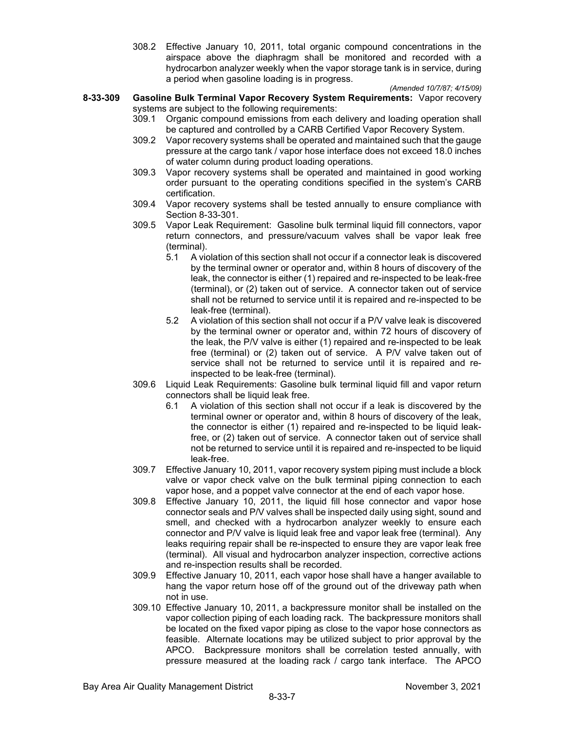308.2 Effective January 10, 2011, total organic compound concentrations in the airspace above the diaphragm shall be monitored and recorded with a hydrocarbon analyzer weekly when the vapor storage tank is in service, during a period when gasoline loading is in progress.

*(Amended 10/7/87; 4/15/09)*

- **8-33-309 Gasoline Bulk Terminal Vapor Recovery System Requirements:** Vapor recovery systems are subject to the following requirements:
	- 309.1 Organic compound emissions from each delivery and loading operation shall be captured and controlled by a CARB Certified Vapor Recovery System.
	- 309.2 Vapor recovery systems shall be operated and maintained such that the gauge pressure at the cargo tank / vapor hose interface does not exceed 18.0 inches of water column during product loading operations.
	- 309.3 Vapor recovery systems shall be operated and maintained in good working order pursuant to the operating conditions specified in the system's CARB certification.
	- 309.4 Vapor recovery systems shall be tested annually to ensure compliance with Section 8-33-301.
	- 309.5 Vapor Leak Requirement: Gasoline bulk terminal liquid fill connectors, vapor return connectors, and pressure/vacuum valves shall be vapor leak free (terminal).
		- 5.1 A violation of this section shall not occur if a connector leak is discovered by the terminal owner or operator and, within 8 hours of discovery of the leak, the connector is either (1) repaired and re-inspected to be leak-free (terminal), or (2) taken out of service. A connector taken out of service shall not be returned to service until it is repaired and re-inspected to be leak-free (terminal).
		- 5.2 A violation of this section shall not occur if a P/V valve leak is discovered by the terminal owner or operator and, within 72 hours of discovery of the leak, the P/V valve is either (1) repaired and re-inspected to be leak free (terminal) or (2) taken out of service. A P/V valve taken out of service shall not be returned to service until it is repaired and reinspected to be leak-free (terminal).
	- 309.6 Liquid Leak Requirements: Gasoline bulk terminal liquid fill and vapor return connectors shall be liquid leak free.
		- 6.1 A violation of this section shall not occur if a leak is discovered by the terminal owner or operator and, within 8 hours of discovery of the leak, the connector is either (1) repaired and re-inspected to be liquid leakfree, or (2) taken out of service. A connector taken out of service shall not be returned to service until it is repaired and re-inspected to be liquid leak-free.
	- 309.7 Effective January 10, 2011, vapor recovery system piping must include a block valve or vapor check valve on the bulk terminal piping connection to each vapor hose, and a poppet valve connector at the end of each vapor hose.
	- 309.8 Effective January 10, 2011, the liquid fill hose connector and vapor hose connector seals and P/V valves shall be inspected daily using sight, sound and smell, and checked with a hydrocarbon analyzer weekly to ensure each connector and P/V valve is liquid leak free and vapor leak free (terminal). Any leaks requiring repair shall be re-inspected to ensure they are vapor leak free (terminal). All visual and hydrocarbon analyzer inspection, corrective actions and re-inspection results shall be recorded.
	- 309.9 Effective January 10, 2011, each vapor hose shall have a hanger available to hang the vapor return hose off of the ground out of the driveway path when not in use.
	- 309.10 Effective January 10, 2011, a backpressure monitor shall be installed on the vapor collection piping of each loading rack. The backpressure monitors shall be located on the fixed vapor piping as close to the vapor hose connectors as feasible. Alternate locations may be utilized subject to prior approval by the APCO. Backpressure monitors shall be correlation tested annually, with pressure measured at the loading rack / cargo tank interface. The APCO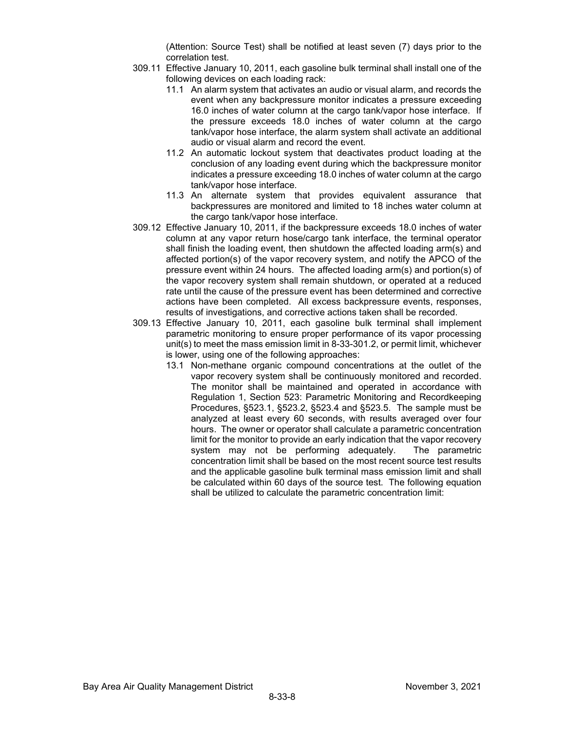(Attention: Source Test) shall be notified at least seven (7) days prior to the correlation test.

- 309.11 Effective January 10, 2011, each gasoline bulk terminal shall install one of the following devices on each loading rack:
	- 11.1 An alarm system that activates an audio or visual alarm, and records the event when any backpressure monitor indicates a pressure exceeding 16.0 inches of water column at the cargo tank/vapor hose interface. If the pressure exceeds 18.0 inches of water column at the cargo tank/vapor hose interface, the alarm system shall activate an additional audio or visual alarm and record the event.
	- 11.2 An automatic lockout system that deactivates product loading at the conclusion of any loading event during which the backpressure monitor indicates a pressure exceeding 18.0 inches of water column at the cargo tank/vapor hose interface.
	- 11.3 An alternate system that provides equivalent assurance that backpressures are monitored and limited to 18 inches water column at the cargo tank/vapor hose interface.
- 309.12 Effective January 10, 2011, if the backpressure exceeds 18.0 inches of water column at any vapor return hose/cargo tank interface, the terminal operator shall finish the loading event, then shutdown the affected loading arm(s) and affected portion(s) of the vapor recovery system, and notify the APCO of the pressure event within 24 hours. The affected loading arm(s) and portion(s) of the vapor recovery system shall remain shutdown, or operated at a reduced rate until the cause of the pressure event has been determined and corrective actions have been completed. All excess backpressure events, responses, results of investigations, and corrective actions taken shall be recorded.
- 309.13 Effective January 10, 2011, each gasoline bulk terminal shall implement parametric monitoring to ensure proper performance of its vapor processing unit(s) to meet the mass emission limit in 8-33-301.2, or permit limit, whichever is lower, using one of the following approaches:
	- 13.1 Non-methane organic compound concentrations at the outlet of the vapor recovery system shall be continuously monitored and recorded. The monitor shall be maintained and operated in accordance with Regulation 1, Section 523: Parametric Monitoring and Recordkeeping Procedures, §523.1, §523.2, §523.4 and §523.5. The sample must be analyzed at least every 60 seconds, with results averaged over four hours. The owner or operator shall calculate a parametric concentration limit for the monitor to provide an early indication that the vapor recovery system may not be performing adequately. The parametric concentration limit shall be based on the most recent source test results and the applicable gasoline bulk terminal mass emission limit and shall be calculated within 60 days of the source test. The following equation shall be utilized to calculate the parametric concentration limit: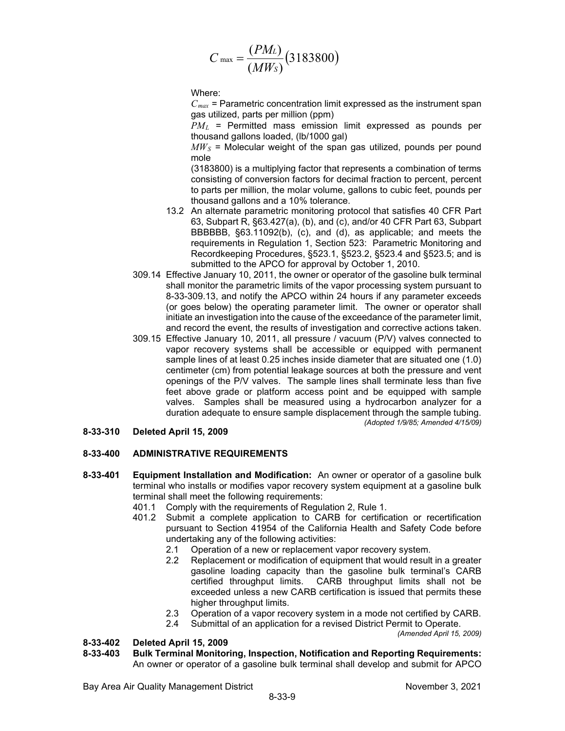$$
C_{\text{max}} = \frac{(PM_L)}{(MW_S)}(3183800)
$$

Where:

 $C_{max}$  = Parametric concentration limit expressed as the instrument span gas utilized, parts per million (ppm)

*PML* = Permitted mass emission limit expressed as pounds per thousand gallons loaded, (lb/1000 gal)

 $MW<sub>S</sub>$  = Molecular weight of the span gas utilized, pounds per pound mole

(3183800) is a multiplying factor that represents a combination of terms consisting of conversion factors for decimal fraction to percent, percent to parts per million, the molar volume, gallons to cubic feet, pounds per thousand gallons and a 10% tolerance.

- 13.2 An alternate parametric monitoring protocol that satisfies 40 CFR Part 63, Subpart R, §63.427(a), (b), and (c), and/or 40 CFR Part 63, Subpart BBBBBB, §63.11092(b), (c), and (d), as applicable; and meets the requirements in Regulation 1, Section 523: Parametric Monitoring and Recordkeeping Procedures, §523.1, §523.2, §523.4 and §523.5; and is submitted to the APCO for approval by October 1, 2010.
- 309.14 Effective January 10, 2011, the owner or operator of the gasoline bulk terminal shall monitor the parametric limits of the vapor processing system pursuant to 8-33-309.13, and notify the APCO within 24 hours if any parameter exceeds (or goes below) the operating parameter limit. The owner or operator shall initiate an investigation into the cause of the exceedance of the parameter limit, and record the event, the results of investigation and corrective actions taken.
- 309.15 Effective January 10, 2011, all pressure / vacuum (P/V) valves connected to vapor recovery systems shall be accessible or equipped with permanent sample lines of at least 0.25 inches inside diameter that are situated one (1.0) centimeter (cm) from potential leakage sources at both the pressure and vent openings of the P/V valves. The sample lines shall terminate less than five feet above grade or platform access point and be equipped with sample valves. Samples shall be measured using a hydrocarbon analyzer for a duration adequate to ensure sample displacement through the sample tubing. *(Adopted 1/9/85; Amended 4/15/09)*
- **8-33-310 Deleted April 15, 2009**

## **8-33-400 ADMINISTRATIVE REQUIREMENTS**

- **8-33-401 Equipment Installation and Modification:** An owner or operator of a gasoline bulk terminal who installs or modifies vapor recovery system equipment at a gasoline bulk terminal shall meet the following requirements:
	- 401.1 Comply with the requirements of Regulation 2, Rule 1.
	- 401.2 Submit a complete application to CARB for certification or recertification pursuant to Section 41954 of the California Health and Safety Code before undertaking any of the following activities:
		- 2.1 Operation of a new or replacement vapor recovery system.
		- 2.2 Replacement or modification of equipment that would result in a greater gasoline loading capacity than the gasoline bulk terminal's CARB certified throughput limits. CARB throughput limits shall not be CARB throughput limits shall not be exceeded unless a new CARB certification is issued that permits these higher throughput limits.
		- 2.3 Operation of a vapor recovery system in a mode not certified by CARB.

2.4 Submittal of an application for a revised District Permit to Operate. *(Amended April 15, 2009)*

## **8-33-402 Deleted April 15, 2009**

**8-33-403 Bulk Terminal Monitoring, Inspection, Notification and Reporting Requirements:** An owner or operator of a gasoline bulk terminal shall develop and submit for APCO

Bay Area Air Quality Management District November 3, 2021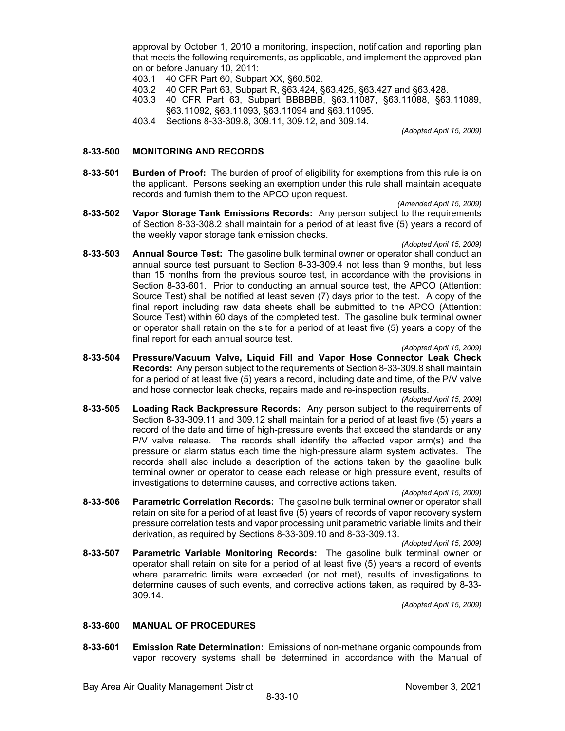approval by October 1, 2010 a monitoring, inspection, notification and reporting plan that meets the following requirements, as applicable, and implement the approved plan on or before January 10, 2011:

- 403.1 40 CFR Part 60, Subpart XX, §60.502.
- 403.2 40 CFR Part 63, Subpart R, §63.424, §63.425, §63.427 and §63.428.
- 403.3 40 CFR Part 63, Subpart BBBBBB, §63.11087, §63.11088, §63.11089, §63.11092, §63.11093, §63.11094 and §63.11095.
- 403.4 Sections 8-33-309.8, 309.11, 309.12, and 309.14.

*(Adopted April 15, 2009)*

## **8-33-500 MONITORING AND RECORDS**

**8-33-501 Burden of Proof:** The burden of proof of eligibility for exemptions from this rule is on the applicant. Persons seeking an exemption under this rule shall maintain adequate records and furnish them to the APCO upon request.

*(Amended April 15, 2009)*

**8-33-502 Vapor Storage Tank Emissions Records:** Any person subject to the requirements of Section 8-33-308.2 shall maintain for a period of at least five (5) years a record of the weekly vapor storage tank emission checks.

*(Adopted April 15, 2009)*

**8-33-503 Annual Source Test:** The gasoline bulk terminal owner or operator shall conduct an annual source test pursuant to Section 8-33-309.4 not less than 9 months, but less than 15 months from the previous source test, in accordance with the provisions in Section 8-33-601. Prior to conducting an annual source test, the APCO (Attention: Source Test) shall be notified at least seven (7) days prior to the test. A copy of the final report including raw data sheets shall be submitted to the APCO (Attention: Source Test) within 60 days of the completed test. The gasoline bulk terminal owner or operator shall retain on the site for a period of at least five (5) years a copy of the final report for each annual source test.

*(Adopted April 15, 2009)*

**8-33-504 Pressure/Vacuum Valve, Liquid Fill and Vapor Hose Connector Leak Check Records:** Any person subject to the requirements of Section 8-33-309.8 shall maintain for a period of at least five (5) years a record, including date and time, of the P/V valve and hose connector leak checks, repairs made and re-inspection results.

*(Adopted April 15, 2009)*

**8-33-505 Loading Rack Backpressure Records:** Any person subject to the requirements of Section 8-33-309.11 and 309.12 shall maintain for a period of at least five (5) years a record of the date and time of high-pressure events that exceed the standards or any P/V valve release. The records shall identify the affected vapor arm(s) and the pressure or alarm status each time the high-pressure alarm system activates. The records shall also include a description of the actions taken by the gasoline bulk terminal owner or operator to cease each release or high pressure event, results of investigations to determine causes, and corrective actions taken.

*(Adopted April 15, 2009)*

**8-33-506 Parametric Correlation Records:** The gasoline bulk terminal owner or operator shall retain on site for a period of at least five (5) years of records of vapor recovery system pressure correlation tests and vapor processing unit parametric variable limits and their derivation, as required by Sections 8-33-309.10 and 8-33-309.13.

*(Adopted April 15, 2009)*

**8-33-507 Parametric Variable Monitoring Records:** The gasoline bulk terminal owner or operator shall retain on site for a period of at least five (5) years a record of events where parametric limits were exceeded (or not met), results of investigations to determine causes of such events, and corrective actions taken, as required by 8-33- 309.14.

*(Adopted April 15, 2009)*

## **8-33-600 MANUAL OF PROCEDURES**

**8-33-601 Emission Rate Determination:** Emissions of non-methane organic compounds from vapor recovery systems shall be determined in accordance with the Manual of